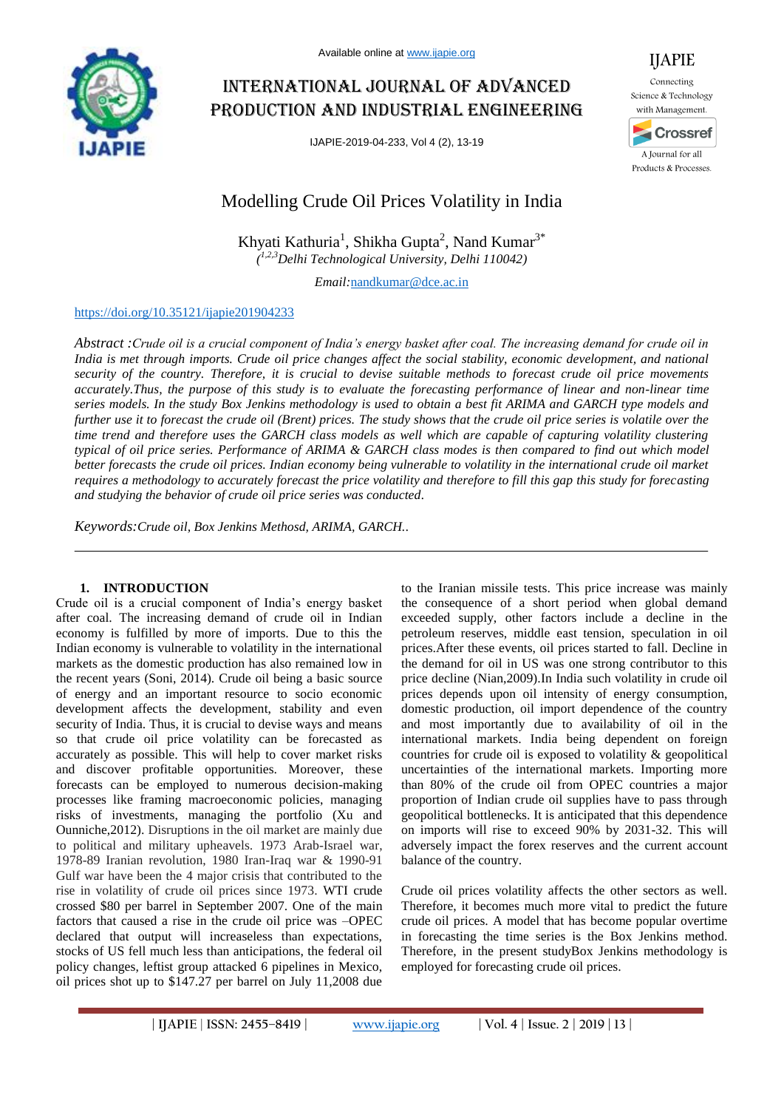

# International journal of advanced production and industrial engineering

IJAPIE-2019-04-233, Vol 4 (2), 13-19



IJAPIE

# Modelling Crude Oil Prices Volatility in India

Khyati Kathuria<sup>1</sup>, Shikha Gupta<sup>2</sup>, Nand Kumar<sup>3\*</sup> *( 1,2,3Delhi Technological University, Delhi 110042)*

*Email:*nandkumar@dce.ac.in

# https://doi.org/10.35121/ijapie201904233

*Abstract :Crude oil is a crucial component of India's energy basket after coal. The increasing demand for crude oil in India is met through imports. Crude oil price changes affect the social stability, economic development, and national security of the country. Therefore, it is crucial to devise suitable methods to forecast crude oil price movements accurately.Thus, the purpose of this study is to evaluate the forecasting performance of linear and non-linear time series models. In the study Box Jenkins methodology is used to obtain a best fit ARIMA and GARCH type models and further use it to forecast the crude oil (Brent) prices. The study shows that the crude oil price series is volatile over the time trend and therefore uses the GARCH class models as well which are capable of capturing volatility clustering typical of oil price series. Performance of ARIMA & GARCH class modes is then compared to find out which model better forecasts the crude oil prices. Indian economy being vulnerable to volatility in the international crude oil market requires a methodology to accurately forecast the price volatility and therefore to fill this gap this study for forecasting and studying the behavior of crude oil price series was conducted.*

*Keywords:Crude oil, Box Jenkins Methosd, ARIMA, GARCH..*

# **1. INTRODUCTION**

Crude oil is a crucial component of India's energy basket after coal. The increasing demand of crude oil in Indian economy is fulfilled by more of imports. Due to this the Indian economy is vulnerable to volatility in the international markets as the domestic production has also remained low in the recent years (Soni, 2014). Crude oil being a basic source of energy and an important resource to socio economic development affects the development, stability and even security of India. Thus, it is crucial to devise ways and means so that crude oil price volatility can be forecasted as accurately as possible. This will help to cover market risks and discover profitable opportunities. Moreover, these forecasts can be employed to numerous decision-making processes like framing macroeconomic policies, managing risks of investments, managing the portfolio (Xu and Ounniche,2012). Disruptions in the oil market are mainly due to political and military upheavels. 1973 Arab-Israel war, 1978-89 Iranian revolution, 1980 Iran-Iraq war & 1990-91 Gulf war have been the 4 major crisis that contributed to the rise in volatility of crude oil prices since 1973. WTI crude crossed \$80 per barrel in September 2007. One of the main factors that caused a rise in the crude oil price was –OPEC declared that output will increaseless than expectations, stocks of US fell much less than anticipations, the federal oil policy changes, leftist group attacked 6 pipelines in Mexico, oil prices shot up to \$147.27 per barrel on July 11,2008 due to the Iranian missile tests. This price increase was mainly the consequence of a short period when global demand exceeded supply, other factors include a decline in the petroleum reserves, middle east tension, speculation in oil prices.After these events, oil prices started to fall. Decline in the demand for oil in US was one strong contributor to this price decline (Nian,2009).In India such volatility in crude oil prices depends upon oil intensity of energy consumption, domestic production, oil import dependence of the country and most importantly due to availability of oil in the international markets. India being dependent on foreign countries for crude oil is exposed to volatility & geopolitical uncertainties of the international markets. Importing more than 80% of the crude oil from OPEC countries a major proportion of Indian crude oil supplies have to pass through geopolitical bottlenecks. It is anticipated that this dependence on imports will rise to exceed 90% by 2031-32. This will adversely impact the forex reserves and the current account balance of the country.

Crude oil prices volatility affects the other sectors as well. Therefore, it becomes much more vital to predict the future crude oil prices. A model that has become popular overtime in forecasting the time series is the Box Jenkins method. Therefore, in the present studyBox Jenkins methodology is employed for forecasting crude oil prices.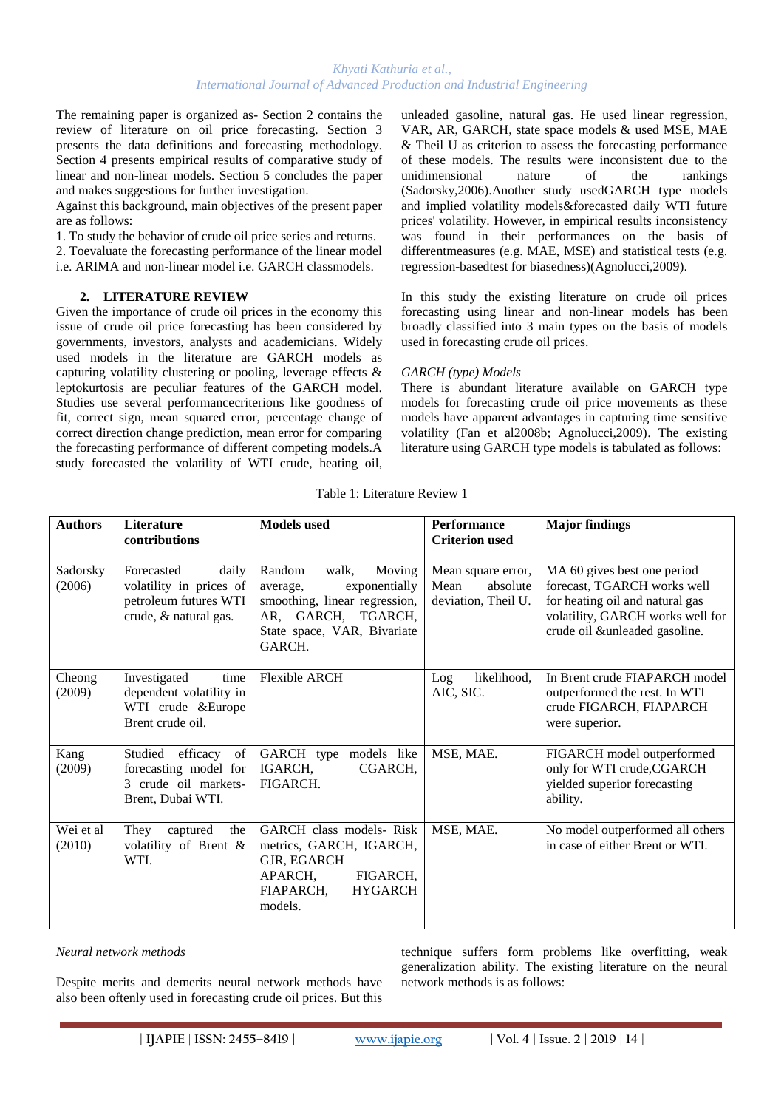The remaining paper is organized as- Section 2 contains the review of literature on oil price forecasting. Section 3 presents the data definitions and forecasting methodology. Section 4 presents empirical results of comparative study of linear and non-linear models. Section 5 concludes the paper and makes suggestions for further investigation.

Against this background, main objectives of the present paper are as follows:

1. To study the behavior of crude oil price series and returns.

2. Toevaluate the forecasting performance of the linear model i.e. ARIMA and non-linear model i.e. GARCH classmodels.

## **2. LITERATURE REVIEW**

Given the importance of crude oil prices in the economy this issue of crude oil price forecasting has been considered by governments, investors, analysts and academicians. Widely used models in the literature are GARCH models as capturing volatility clustering or pooling, leverage effects & leptokurtosis are peculiar features of the GARCH model. Studies use several performancecriterions like goodness of fit, correct sign, mean squared error, percentage change of correct direction change prediction, mean error for comparing the forecasting performance of different competing models.A study forecasted the volatility of WTI crude, heating oil, unleaded gasoline, natural gas. He used linear regression, VAR, AR, GARCH, state space models & used MSE, MAE & Theil U as criterion to assess the forecasting performance of these models. The results were inconsistent due to the unidimensional nature of the rankings (Sadorsky,2006).Another study usedGARCH type models and implied volatility models&forecasted daily WTI future prices' volatility. However, in empirical results inconsistency was found in their performances on the basis of differentmeasures (e.g. MAE, MSE) and statistical tests (e.g. regression-basedtest for biasedness)(Agnolucci,2009).

In this study the existing literature on crude oil prices forecasting using linear and non-linear models has been broadly classified into 3 main types on the basis of models used in forecasting crude oil prices.

# *GARCH (type) Models*

There is abundant literature available on GARCH type models for forecasting crude oil price movements as these models have apparent advantages in capturing time sensitive volatility (Fan et al2008b; Agnolucci,2009). The existing literature using GARCH type models is tabulated as follows:

| <b>Authors</b>      | <b>Literature</b><br>contributions                                                               | <b>Models</b> used                                                                                                                                     | <b>Performance</b><br><b>Criterion</b> used                   | <b>Major findings</b>                                                                                                                                              |
|---------------------|--------------------------------------------------------------------------------------------------|--------------------------------------------------------------------------------------------------------------------------------------------------------|---------------------------------------------------------------|--------------------------------------------------------------------------------------------------------------------------------------------------------------------|
| Sadorsky<br>(2006)  | Forecasted<br>daily<br>volatility in prices of<br>petroleum futures WTI<br>crude, & natural gas. | Random<br>walk,<br>Moving<br>exponentially<br>average,<br>smoothing, linear regression,<br>AR, GARCH, TGARCH,<br>State space, VAR, Bivariate<br>GARCH. | Mean square error,<br>Mean<br>absolute<br>deviation, Theil U. | MA 60 gives best one period<br>forecast, TGARCH works well<br>for heating oil and natural gas<br>volatility, GARCH works well for<br>crude oil &unleaded gasoline. |
| Cheong<br>(2009)    | Investigated<br>time<br>dependent volatility in<br>WTI crude &Europe<br>Brent crude oil.         | <b>Flexible ARCH</b>                                                                                                                                   | likelihood,<br>Log<br>AIC, SIC.                               | In Brent crude FIAPARCH model<br>outperformed the rest. In WTI<br>crude FIGARCH, FIAPARCH<br>were superior.                                                        |
| Kang<br>(2009)      | Studied<br>efficacy<br>of<br>forecasting model for<br>3 crude oil markets-<br>Brent, Dubai WTI.  | GARCH type models like<br>IGARCH,<br>CGARCH,<br>FIGARCH.                                                                                               | MSE, MAE.                                                     | FIGARCH model outperformed<br>only for WTI crude, CGARCH<br>yielded superior forecasting<br>ability.                                                               |
| Wei et al<br>(2010) | They<br>captured<br>the<br>volatility of Brent &<br>WTI.                                         | GARCH class models- Risk<br>metrics, GARCH, IGARCH,<br>GJR, EGARCH<br>APARCH,<br>FIGARCH,<br>FIAPARCH,<br><b>HYGARCH</b><br>models.                    | MSE, MAE.                                                     | No model outperformed all others<br>in case of either Brent or WTI.                                                                                                |

Table 1: Literature Review 1

*Neural network methods* 

Despite merits and demerits neural network methods have also been oftenly used in forecasting crude oil prices. But this technique suffers form problems like overfitting, weak generalization ability. The existing literature on the neural network methods is as follows:

**| IJAPIE** | **ISSN: 2455–8419 | www.ijapie.org | Vol. 4 | Issue. 2 | 2019 | 14 |**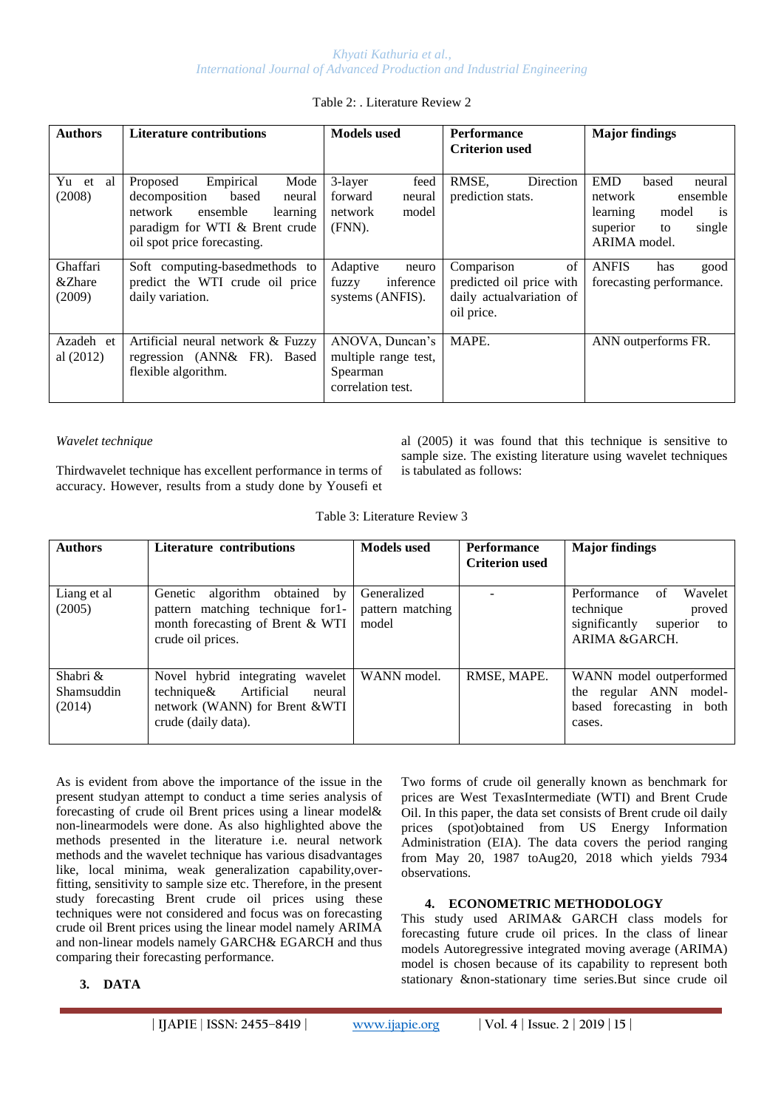# Table 2: . Literature Review 2

| <b>Authors</b>               | <b>Literature contributions</b>                                                                                                                                       | <b>Models</b> used                                                       | <b>Performance</b><br><b>Criterion used</b>                                            | <b>Major findings</b>                                                                                                                  |
|------------------------------|-----------------------------------------------------------------------------------------------------------------------------------------------------------------------|--------------------------------------------------------------------------|----------------------------------------------------------------------------------------|----------------------------------------------------------------------------------------------------------------------------------------|
| Yu et al<br>(2008)           | Empirical<br>Mode<br>Proposed<br>based<br>decomposition<br>neural<br>ensemble<br>network<br>learning<br>paradigm for WTI & Brent crude<br>oil spot price forecasting. | 3-layer<br>feed<br>forward<br>neural<br>model<br>network<br>(FNN).       | RMSE,<br><b>Direction</b><br>prediction stats.                                         | <b>EMD</b><br>based<br>neural<br>ensemble<br>network<br>learning<br>model<br><sup>is</sup><br>superior<br>to<br>single<br>ARIMA model. |
| Ghaffari<br>&Zhare<br>(2009) | Soft computing-basedmethods to<br>predict the WTI crude oil price<br>daily variation.                                                                                 | Adaptive<br>neuro<br>inference<br>fuzzy<br>systems (ANFIS).              | Comparison<br>of<br>predicted oil price with<br>daily actualvariation of<br>oil price. | <b>ANFIS</b><br>has<br>good<br>forecasting performance.                                                                                |
| Azadeh et<br>al $(2012)$     | Artificial neural network & Fuzzy<br>regression (ANN& FR). Based<br>flexible algorithm.                                                                               | ANOVA, Duncan's<br>multiple range test,<br>Spearman<br>correlation test. | MAPE.                                                                                  | ANN outperforms FR.                                                                                                                    |

# *Wavelet technique*

Thirdwavelet technique has excellent performance in terms of accuracy. However, results from a study done by Yousefi et

al (2005) it was found that this technique is sensitive to sample size. The existing literature using wavelet techniques is tabulated as follows:

| <b>Authors</b>                   | Literature contributions                                                                                                              | <b>Models</b> used                       | <b>Performance</b><br><b>Criterion used</b> | <b>Major findings</b>                                                                                    |
|----------------------------------|---------------------------------------------------------------------------------------------------------------------------------------|------------------------------------------|---------------------------------------------|----------------------------------------------------------------------------------------------------------|
| Liang et al<br>(2005)            | algorithm<br>obtained by<br>Genetic<br>pattern matching technique for 1-<br>month forecasting of Brent & WTI<br>crude oil prices.     | Generalized<br>pattern matching<br>model |                                             | Performance<br>Wavelet<br>of<br>technique<br>proved<br>significantly<br>superior<br>to<br>ARIMA & GARCH. |
| Shabri &<br>Shamsuddin<br>(2014) | Novel hybrid integrating<br>wavelet<br>Artificial<br>technique $\&$<br>neural<br>network (WANN) for Brent &WTI<br>crude (daily data). | WANN model.                              | RMSE, MAPE.                                 | WANN model outperformed<br>the regular ANN model-<br>based forecasting in both<br>cases.                 |

As is evident from above the importance of the issue in the present studyan attempt to conduct a time series analysis of forecasting of crude oil Brent prices using a linear model& non-linearmodels were done. As also highlighted above the methods presented in the literature i.e. neural network methods and the wavelet technique has various disadvantages like, local minima, weak generalization capability,overfitting, sensitivity to sample size etc. Therefore, in the present study forecasting Brent crude oil prices using these techniques were not considered and focus was on forecasting crude oil Brent prices using the linear model namely ARIMA and non-linear models namely GARCH& EGARCH and thus comparing their forecasting performance.

# **3. DATA**

Two forms of crude oil generally known as benchmark for prices are West TexasIntermediate (WTI) and Brent Crude Oil. In this paper, the data set consists of Brent crude oil daily prices (spot)obtained from US Energy Information Administration (EIA). The data covers the period ranging from May 20, 1987 toAug20, 2018 which yields 7934 observations.

# **4. ECONOMETRIC METHODOLOGY**

This study used ARIMA& GARCH class models for forecasting future crude oil prices. In the class of linear models Autoregressive integrated moving average (ARIMA) model is chosen because of its capability to represent both stationary &non-stationary time series.But since crude oil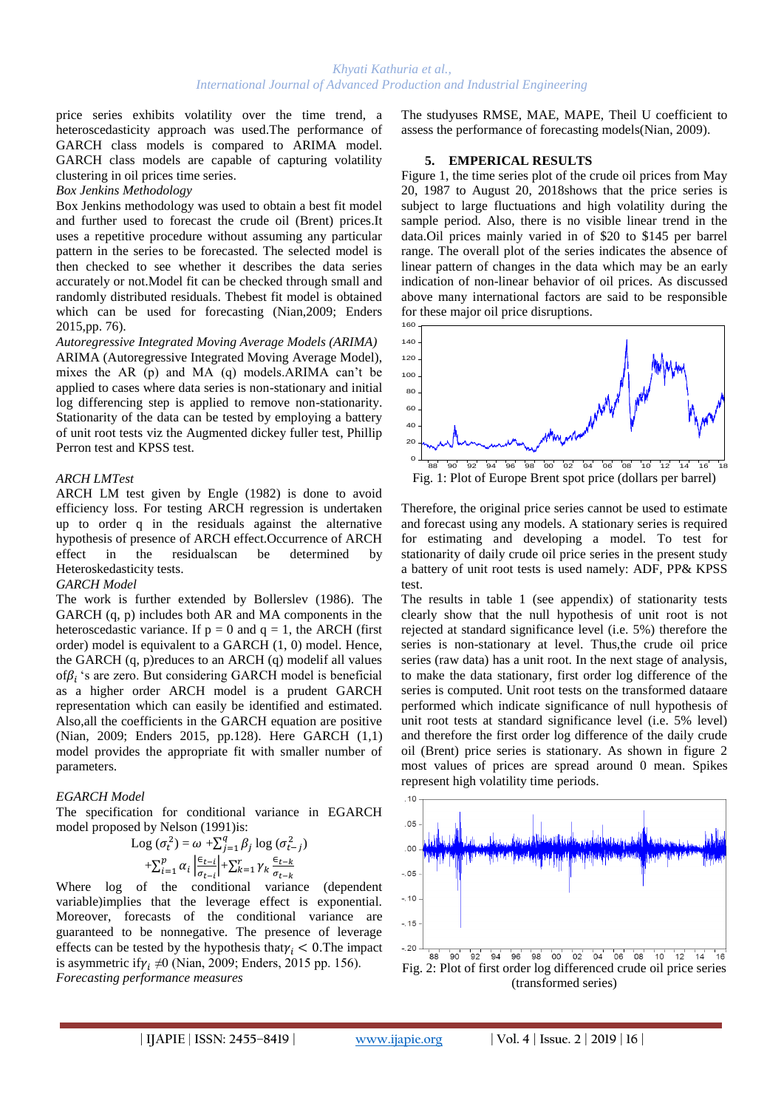price series exhibits volatility over the time trend, a heteroscedasticity approach was used.The performance of GARCH class models is compared to ARIMA model. GARCH class models are capable of capturing volatility clustering in oil prices time series.

#### *Box Jenkins Methodology*

Box Jenkins methodology was used to obtain a best fit model and further used to forecast the crude oil (Brent) prices.It uses a repetitive procedure without assuming any particular pattern in the series to be forecasted. The selected model is then checked to see whether it describes the data series accurately or not.Model fit can be checked through small and randomly distributed residuals. Thebest fit model is obtained which can be used for forecasting (Nian,2009; Enders 2015,pp. 76).

*Autoregressive Integrated Moving Average Models (ARIMA)* ARIMA (Autoregressive Integrated Moving Average Model), mixes the AR (p) and MA (q) models.ARIMA can't be applied to cases where data series is non-stationary and initial log differencing step is applied to remove non-stationarity. Stationarity of the data can be tested by employing a battery of unit root tests viz the Augmented dickey fuller test, Phillip Perron test and KPSS test.

#### *ARCH LMTest*

ARCH LM test given by Engle (1982) is done to avoid efficiency loss. For testing ARCH regression is undertaken up to order q in the residuals against the alternative hypothesis of presence of ARCH effect.Occurrence of ARCH effect in the residualscan be determined by Heteroskedasticity tests.

#### *GARCH Model*

The work is further extended by Bollerslev (1986). The GARCH (q, p) includes both AR and MA components in the heteroscedastic variance. If  $p = 0$  and  $q = 1$ , the ARCH (first order) model is equivalent to a GARCH (1, 0) model. Hence, the GARCH (q, p)reduces to an ARCH (q) modelif all values of $\beta_i$ 's are zero. But considering GARCH model is beneficial as a higher order ARCH model is a prudent GARCH representation which can easily be identified and estimated. Also,all the coefficients in the GARCH equation are positive (Nian, 2009; Enders 2015, pp.128). Here GARCH (1,1) model provides the appropriate fit with smaller number of parameters.

## *EGARCH Model*

The specification for conditional variance in EGARCH model proposed by Nelson (1991)is:

$$
\text{Log}(\sigma_t^2) = \omega + \sum_{j=1}^q \beta_j \log (\sigma_{t-j}^2)
$$

$$
+ \sum_{i=1}^p \alpha_i \left| \frac{\epsilon_{t-i}}{\sigma_{t-i}} \right| + \sum_{k=1}^r \gamma_k \frac{\epsilon_{t-k}}{\sigma_{t-k}}
$$

Where log of the conditional variance (dependent variable)implies that the leverage effect is exponential. Moreover, forecasts of the conditional variance are guaranteed to be nonnegative. The presence of leverage effects can be tested by the hypothesis that  $\gamma_i < 0$ . The impact is asymmetric if  $\gamma_i \neq 0$  (Nian, 2009; Enders, 2015 pp. 156). *Forecasting performance measures* 

The studyuses RMSE, MAE, MAPE, Theil U coefficient to assess the performance of forecasting models(Nian, 2009).

#### **5. EMPERICAL RESULTS**

Figure 1, the time series plot of the crude oil prices from May 20, 1987 to August 20, 2018shows that the price series is subject to large fluctuations and high volatility during the sample period. Also, there is no visible linear trend in the data.Oil prices mainly varied in of \$20 to \$145 per barrel range. The overall plot of the series indicates the absence of linear pattern of changes in the data which may be an early indication of non-linear behavior of oil prices. As discussed above many international factors are said to be responsible for these major oil price disruptions.



Therefore, the original price series cannot be used to estimate and forecast using any models. A stationary series is required for estimating and developing a model. To test for stationarity of daily crude oil price series in the present study a battery of unit root tests is used namely: ADF, PP& KPSS test.

The results in table 1 (see appendix) of stationarity tests clearly show that the null hypothesis of unit root is not rejected at standard significance level (i.e. 5%) therefore the series is non-stationary at level. Thus,the crude oil price series (raw data) has a unit root. In the next stage of analysis, to make the data stationary, first order log difference of the series is computed. Unit root tests on the transformed dataare performed which indicate significance of null hypothesis of unit root tests at standard significance level (i.e. 5% level) and therefore the first order log difference of the daily crude oil (Brent) price series is stationary. As shown in figure 2 most values of prices are spread around 0 mean. Spikes represent high volatility time periods.

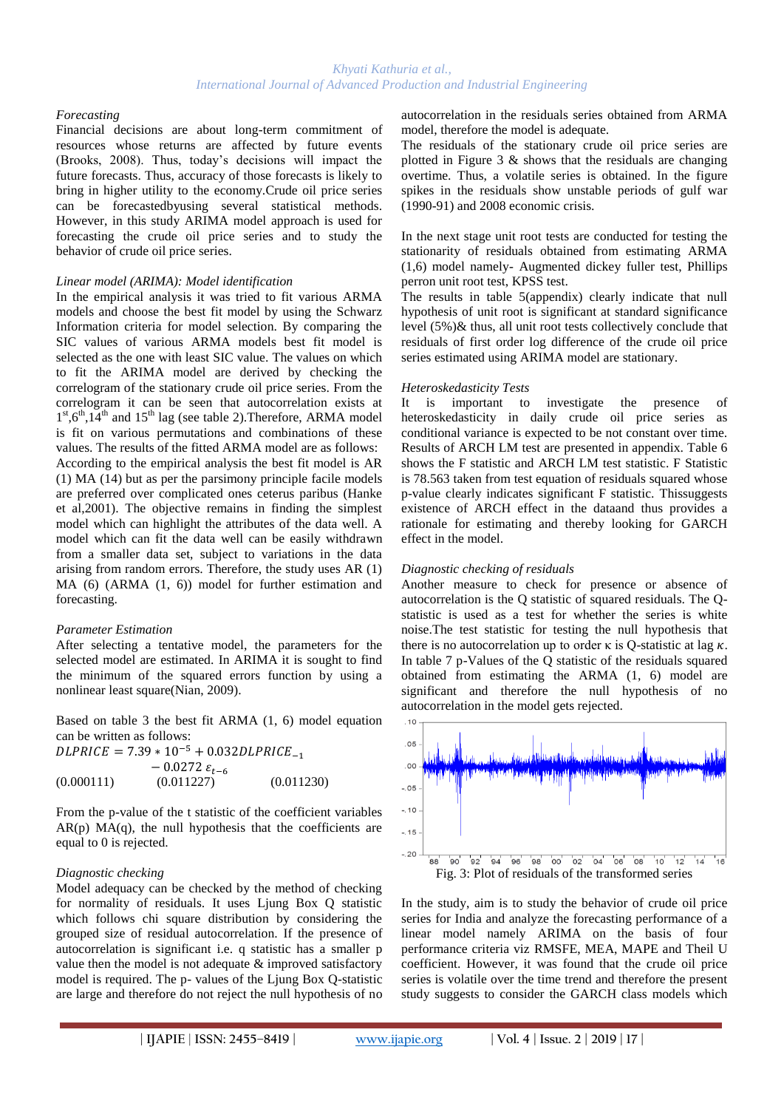#### *Forecasting*

Financial decisions are about long-term commitment of resources whose returns are affected by future events (Brooks, 2008). Thus, today's decisions will impact the future forecasts. Thus, accuracy of those forecasts is likely to bring in higher utility to the economy.Crude oil price series can be forecastedbyusing several statistical methods. However, in this study ARIMA model approach is used for forecasting the crude oil price series and to study the behavior of crude oil price series.

## *Linear model (ARIMA): Model identification*

In the empirical analysis it was tried to fit various ARMA models and choose the best fit model by using the Schwarz Information criteria for model selection. By comparing the SIC values of various ARMA models best fit model is selected as the one with least SIC value. The values on which to fit the ARIMA model are derived by checking the correlogram of the stationary crude oil price series. From the correlogram it can be seen that autocorrelation exists at  $1<sup>st</sup>,6<sup>th</sup>,14<sup>th</sup>$  and  $15<sup>th</sup>$  lag (see table 2). Therefore, ARMA model is fit on various permutations and combinations of these values. The results of the fitted ARMA model are as follows: According to the empirical analysis the best fit model is AR (1) MA (14) but as per the parsimony principle facile models are preferred over complicated ones ceterus paribus (Hanke et al,2001). The objective remains in finding the simplest model which can highlight the attributes of the data well. A model which can fit the data well can be easily withdrawn from a smaller data set, subject to variations in the data arising from random errors. Therefore, the study uses AR (1) MA (6) (ARMA (1, 6)) model for further estimation and forecasting.

## *Parameter Estimation*

After selecting a tentative model, the parameters for the selected model are estimated. In ARIMA it is sought to find the minimum of the squared errors function by using a nonlinear least square(Nian, 2009).

Based on table 3 the best fit ARMA (1, 6) model equation can be written as follows:

 $DLPRICE = 7.39 * 10^{-5} + 0.032DLPRICE_{-1}$  $-0.0272 \varepsilon_{t-6}$  $(0.000111)$   $(0.011227)$   $(0.011230)$ 

From the p-value of the t statistic of the coefficient variables  $AR(p) MA(q)$ , the null hypothesis that the coefficients are equal to 0 is rejected.

## *Diagnostic checking*

Model adequacy can be checked by the method of checking for normality of residuals. It uses Ljung Box Q statistic which follows chi square distribution by considering the grouped size of residual autocorrelation. If the presence of autocorrelation is significant i.e. q statistic has a smaller p value then the model is not adequate & improved satisfactory model is required. The p- values of the Ljung Box Q-statistic are large and therefore do not reject the null hypothesis of no autocorrelation in the residuals series obtained from ARMA model, therefore the model is adequate.

The residuals of the stationary crude oil price series are plotted in Figure  $3 \&$  shows that the residuals are changing overtime. Thus, a volatile series is obtained. In the figure spikes in the residuals show unstable periods of gulf war (1990-91) and 2008 economic crisis.

In the next stage unit root tests are conducted for testing the stationarity of residuals obtained from estimating ARMA (1,6) model namely- Augmented dickey fuller test, Phillips perron unit root test, KPSS test.

The results in table 5(appendix) clearly indicate that null hypothesis of unit root is significant at standard significance level (5%)& thus, all unit root tests collectively conclude that residuals of first order log difference of the crude oil price series estimated using ARIMA model are stationary.

#### *Heteroskedasticity Tests*

It is important to investigate the presence of heteroskedasticity in daily crude oil price series as conditional variance is expected to be not constant over time. Results of ARCH LM test are presented in appendix. Table 6 shows the F statistic and ARCH LM test statistic. F Statistic is 78.563 taken from test equation of residuals squared whose p-value clearly indicates significant F statistic. Thissuggests existence of ARCH effect in the dataand thus provides a rationale for estimating and thereby looking for GARCH effect in the model.

## *Diagnostic checking of residuals*

Another measure to check for presence or absence of autocorrelation is the Q statistic of squared residuals. The Qstatistic is used as a test for whether the series is white noise.The test statistic for testing the null hypothesis that there is no autocorrelation up to order  $\kappa$  is Q-statistic at lag  $\kappa$ . In table 7 p-Values of the Q statistic of the residuals squared obtained from estimating the ARMA (1, 6) model are significant and therefore the null hypothesis of no autocorrelation in the model gets rejected.



In the study, aim is to study the behavior of crude oil price series for India and analyze the forecasting performance of a linear model namely ARIMA on the basis of four performance criteria viz RMSFE, MEA, MAPE and Theil U coefficient. However, it was found that the crude oil price series is volatile over the time trend and therefore the present study suggests to consider the GARCH class models which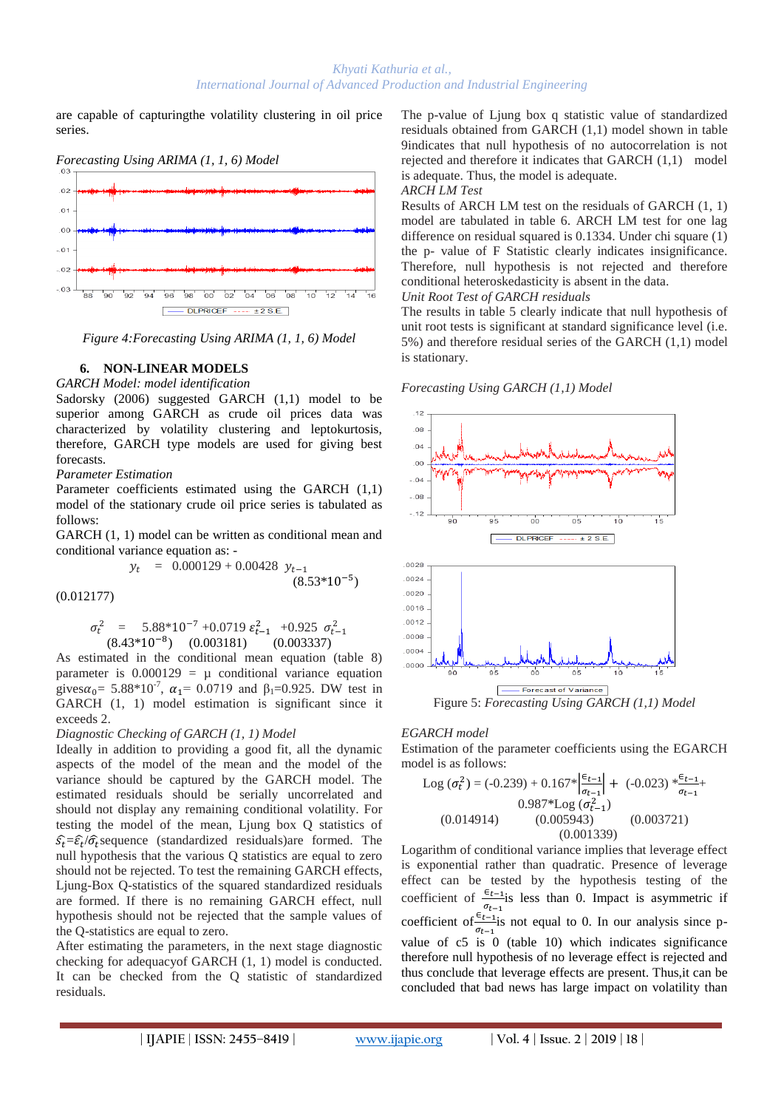are capable of capturingthe volatility clustering in oil price series.



*Figure 4:Forecasting Using ARIMA (1, 1, 6) Model*

## **6. NON-LINEAR MODELS**

*GARCH Model: model identification* 

Sadorsky (2006) suggested GARCH (1,1) model to be superior among GARCH as crude oil prices data was characterized by volatility clustering and leptokurtosis, therefore, GARCH type models are used for giving best forecasts.

## *Parameter Estimation*

 $\overline{\phantom{a}}$ 

Parameter coefficients estimated using the GARCH (1,1) model of the stationary crude oil price series is tabulated as follows:

GARCH (1, 1) model can be written as conditional mean and conditional variance equation as: -

$$
v_t = 0.000129 + 0.00428 y_{t-1}
$$
\n
$$
(8.53*10^{-5})
$$

(0.012177)

$$
\sigma_t^2 = 5.88*10^{-7} + 0.0719 \varepsilon_{t-1}^2 + 0.925 \sigma_{t-1}^2
$$
  
(8.43\*10<sup>-8</sup>) (0.003181) (0.003337)

As estimated in the conditional mean equation (table 8) parameter is  $0.000129 = \mu$  conditional variance equation gives  $\alpha_0 = 5.88 \times 10^{-7}$ ,  $\alpha_1 = 0.0719$  and  $\beta_1 = 0.925$ . DW test in GARCH (1, 1) model estimation is significant since it exceeds 2.

# *Diagnostic Checking of GARCH (1, 1) Model*

Ideally in addition to providing a good fit, all the dynamic aspects of the model of the mean and the model of the variance should be captured by the GARCH model. The estimated residuals should be serially uncorrelated and should not display any remaining conditional volatility. For testing the model of the mean, Ljung box Q statistics of  $\hat{s}_t = \hat{\epsilon}_t / \hat{\sigma}_t$  sequence (standardized residuals) are formed. The null hypothesis that the various Q statistics are equal to zero should not be rejected. To test the remaining GARCH effects, Ljung-Box Q-statistics of the squared standardized residuals are formed. If there is no remaining GARCH effect, null hypothesis should not be rejected that the sample values of the Q-statistics are equal to zero.

After estimating the parameters, in the next stage diagnostic checking for adequacyof GARCH (1, 1) model is conducted. It can be checked from the Q statistic of standardized residuals.

The p-value of Ljung box q statistic value of standardized residuals obtained from GARCH (1,1) model shown in table 9indicates that null hypothesis of no autocorrelation is not rejected and therefore it indicates that GARCH (1,1) model is adequate. Thus, the model is adequate.

#### *ARCH LM Test*

Results of ARCH LM test on the residuals of GARCH (1, 1) model are tabulated in table 6. ARCH LM test for one lag difference on residual squared is 0.1334. Under chi square (1) the p- value of F Statistic clearly indicates insignificance. Therefore, null hypothesis is not rejected and therefore conditional heteroskedasticity is absent in the data.

*Unit Root Test of GARCH residuals*

The results in table 5 clearly indicate that null hypothesis of unit root tests is significant at standard significance level (i.e. 5%) and therefore residual series of the GARCH (1,1) model is stationary.

# *Forecasting Using GARCH (1,1) Model*



# *EGARCH model*

Estimation of the parameter coefficients using the EGARCH model is as follows:

Log 
$$
(\sigma_t^2)
$$
 = (-0.239) + 0.167\* $\left|\frac{\epsilon_{t-1}}{\sigma_{t-1}}\right|$  + (-0.023)\* $\frac{\epsilon_{t-1}}{\sigma_{t-1}}$   
0.987\*Log  $(\sigma_{t-1}^2)$   
(0.014914) (0.005943) (0.003721)  
(0.001339)

Logarithm of conditional variance implies that leverage effect is exponential rather than quadratic. Presence of leverage effect can be tested by the hypothesis testing of the coefficient of  $\frac{\epsilon_{t-1}}{2}$  less than 0. Impact is asymmetric if coefficient of  $\frac{\sigma_{t-1}}{\sigma_{t-1}}$  is not equal to 0. In our analysis since pvalue of c5 is 0 (table 10) which indicates significance therefore null hypothesis of no leverage effect is rejected and thus conclude that leverage effects are present. Thus,it can be concluded that bad news has large impact on volatility than